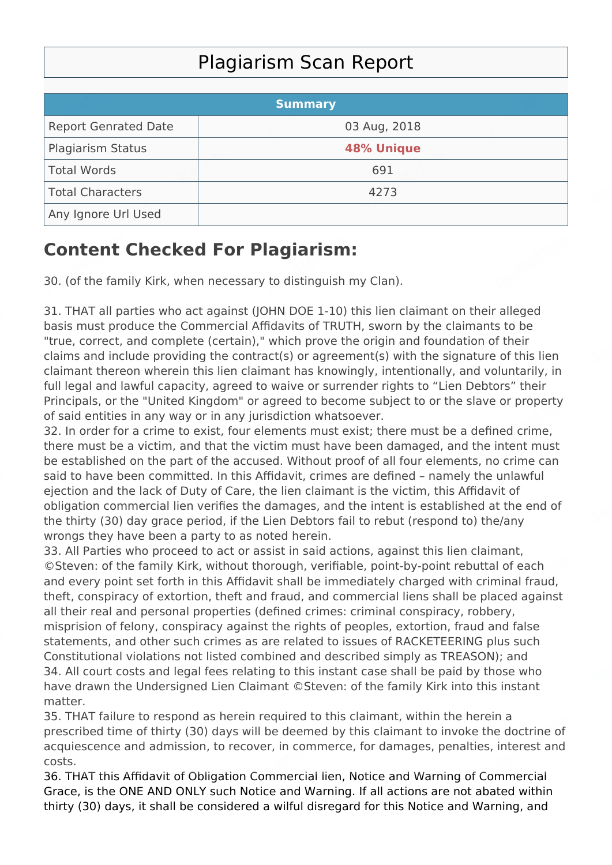## Plagiarism Scan Report

|                             | <b>Summary</b>    |  |
|-----------------------------|-------------------|--|
| <b>Report Genrated Date</b> | 03 Aug, 2018      |  |
| <b>Plagiarism Status</b>    | <b>48% Unique</b> |  |
| Total Words                 | 691               |  |
| Total Characters            | 4273              |  |
| Any Ignore Url Used         |                   |  |

## **Content Checked For Plagiarism:**

30. (of the family Kirk, when necessary to distinguish my Clan).

31. THAT all parties who act against (JOHN DOE 1-10) this lien claimant on their alleged basis must produce the Commercial Affidavits of TRUTH, sworn by the claimants to be "true, correct, and complete (certain)," which prove the origin and foundation of their claims and include providing the contract(s) or agreement(s) with the signature of this lien claimant thereon wherein this lien claimant has knowingly, intentionally, and voluntarily, in full legal and lawful capacity, agreed to waive or surrender rights to "Lien Debtors" their Principals, or the "United Kingdom" or agreed to become subject to or the slave or property of said entities in any way or in any jurisdiction whatsoever.

32. In order for a crime to exist, four elements must exist; there must be a defined crime, there must be a victim, and that the victim must have been damaged, and the intent must be established on the part of the accused. Without proof of all four elements, no crime can said to have been committed. In this Affidavit, crimes are defined – namely the unlawful ejection and the lack of Duty of Care, the lien claimant is the victim, this Affidavit of obligation commercial lien verifies the damages, and the intent is established at the end of the thirty (30) day grace period, if the Lien Debtors fail to rebut (respond to) the/any wrongs they have been a party to as noted herein.

33. All Parties who proceed to act or assist in said actions, against this lien claimant, ©Steven: of the family Kirk, without thorough, verifiable, point-by-point rebuttal of each and every point set forth in this Affidavit shall be immediately charged with criminal fraud, theft, conspiracy of extortion, theft and fraud, and commercial liens shall be placed against all their real and personal properties (defined crimes: criminal conspiracy, robbery, misprision of felony, conspiracy against the rights of peoples, extortion, fraud and false statements, and other such crimes as are related to issues of RACKETEERING plus such Constitutional violations not listed combined and described simply as TREASON); and 34. All court costs and legal fees relating to this instant case shall be paid by those who have drawn the Undersigned Lien Claimant ©Steven: of the family Kirk into this instant matter.

35. THAT failure to respond as herein required to this claimant, within the herein a prescribed time of thirty (30) days will be deemed by this claimant to invoke the doctrine of acquiescence and admission, to recover, in commerce, for damages, penalties, interest and costs.

36. THAT this Affidavit of Obligation Commercial lien, Notice and Warning of Commercial Grace, is the ONE AND ONLY such Notice and Warning. If all actions are not abated within thirty (30) days, it shall be considered a wilful disregard for this Notice and Warning, and